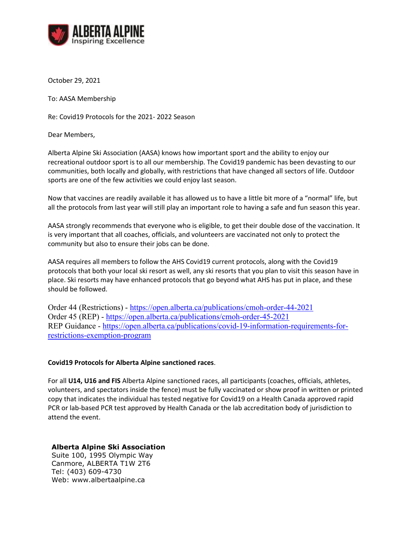

October 29, 2021

To: AASA Membership

Re: Covid19 Protocols for the 2021- 2022 Season

Dear Members,

Alberta Alpine Ski Association (AASA) knows how important sport and the ability to enjoy our recreational outdoor sport is to all our membership. The Covid19 pandemic has been devasting to our communities, both locally and globally, with restrictions that have changed all sectors of life. Outdoor sports are one of the few activities we could enjoy last season.

Now that vaccines are readily available it has allowed us to have a little bit more of a "normal" life, but all the protocols from last year will still play an important role to having a safe and fun season this year.

AASA strongly recommends that everyone who is eligible, to get their double dose of the vaccination. It is very important that all coaches, officials, and volunteers are vaccinated not only to protect the community but also to ensure their jobs can be done.

AASA requires all members to follow the AHS Covid19 current protocols, along with the Covid19 protocols that both your local ski resort as well, any ski resorts that you plan to visit this season have in place. Ski resorts may have enhanced protocols that go beyond what AHS has put in place, and these should be followed.

Order 44 (Restrictions) - <https://open.alberta.ca/publications/cmoh-order-44-2021> Order 45 (REP) - <https://open.alberta.ca/publications/cmoh-order-45-2021> REP Guidance - [https://open.alberta.ca/publications/covid-19-information-requirements-for](https://open.alberta.ca/publications/covid-19-information-requirements-for-restrictions-exemption-program)[restrictions-exemption-program](https://open.alberta.ca/publications/covid-19-information-requirements-for-restrictions-exemption-program)

## **Covid19 Protocols for Alberta Alpine sanctioned races**.

For all **U14, U16 and FIS** Alberta Alpine sanctioned races, all participants (coaches, officials, athletes, volunteers, and spectators inside the fence) must be fully vaccinated or show proof in written or printed copy that indicates the individual has tested negative for Covid19 on a Health Canada approved rapid PCR or lab-based PCR test approved by Health Canada or the lab accreditation body of jurisdiction to attend the event.

## **Alberta Alpine Ski Association**

Suite 100, 1995 Olympic Way Canmore, ALBERTA T1W 2T6 Tel: (403) 609-4730 Web: www.albertaalpine.ca